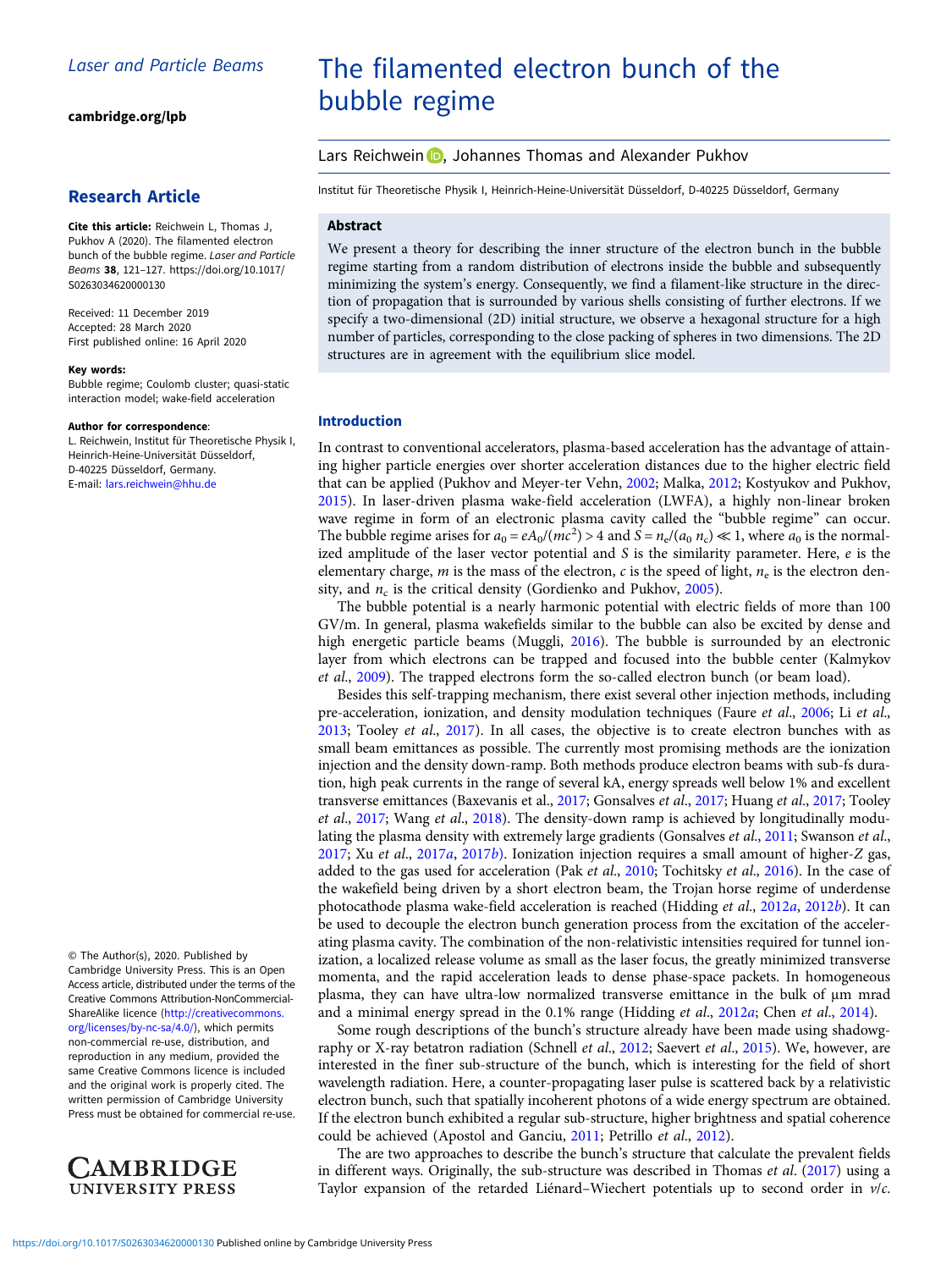[cambridge.org/lpb](https://www.cambridge.org/lpb)

# Research Article

Cite this article: Reichwein L, Thomas J, Pukhov A (2020). The filamented electron bunch of the bubble regime. Laser and Particle Beams 38, 121–127. [https://doi.org/10.1017/](https://doi.org/10.1017/S0263034620000130) [S0263034620000130](https://doi.org/10.1017/S0263034620000130)

Received: 11 December 2019 Accepted: 28 March 2020 First published online: 16 April 2020

#### Key words:

Bubble regime; Coulomb cluster; quasi-static interaction model; wake-field acceleration

#### Author for correspondence:

L. Reichwein, Institut für Theoretische Physik I, Heinrich-Heine-Universität Düsseldorf, D-40225 Düsseldorf, Germany. E-mail: [lars.reichwein@hhu.de](mailto:lars.reichwein@hhu.de)

© The Author(s), 2020. Published by Cambridge University Press. This is an Open Access article, distributed under the terms of the Creative Commons Attribution-NonCommercial-ShareAlike licence ([http://creativecommons.](http://creativecommons.org/licenses/by-nc-sa/4.0/) [org/licenses/by-nc-sa/4.0/\)](http://creativecommons.org/licenses/by-nc-sa/4.0/), which permits non-commercial re-use, distribution, and reproduction in any medium, provided the same Creative Commons licence is included and the original work is properly cited. The written permission of Cambridge University Press must be obtained for commercial re-use.



# The filamented electron bunch of the bubble regime

Lars Reichwein **D**, Johannes Thomas and Alexander Pukhov

Institut für Theoretische Physik I, Heinrich-Heine-Universität Düsseldorf, D-40225 Düsseldorf, Germany

#### Abstract

We present a theory for describing the inner structure of the electron bunch in the bubble regime starting from a random distribution of electrons inside the bubble and subsequently minimizing the system's energy. Consequently, we find a filament-like structure in the direction of propagation that is surrounded by various shells consisting of further electrons. If we specify a two-dimensional (2D) initial structure, we observe a hexagonal structure for a high number of particles, corresponding to the close packing of spheres in two dimensions. The 2D structures are in agreement with the equilibrium slice model.

#### Introduction

In contrast to conventional accelerators, plasma-based acceleration has the advantage of attaining higher particle energies over shorter acceleration distances due to the higher electric field that can be applied (Pukhov and Meyer-ter Vehn, [2002;](#page-6-0) Malka, [2012](#page-6-0); Kostyukov and Pukhov, [2015\)](#page-6-0). In laser-driven plasma wake-field acceleration (LWFA), a highly non-linear broken wave regime in form of an electronic plasma cavity called the "bubble regime" can occur. The bubble regime arises for  $a_0 = eA_0/(mc^2) > 4$  and  $S = n_e/(a_0 \ n_c) \ll 1$ , where  $a_0$  is the normalized amplitude of the laser vector potential and S is the similarity parameter. Here,  $e$  is the elementary charge, m is the mass of the electron, c is the speed of light,  $n_e$  is the electron density, and  $n_c$  is the critical density (Gordienko and Pukhov, [2005\)](#page-5-0).

The bubble potential is a nearly harmonic potential with electric fields of more than 100 GV/m. In general, plasma wakefields similar to the bubble can also be excited by dense and high energetic particle beams (Muggli, [2016](#page-6-0)). The bubble is surrounded by an electronic layer from which electrons can be trapped and focused into the bubble center (Kalmykov et al., [2009\)](#page-6-0). The trapped electrons form the so-called electron bunch (or beam load).

Besides this self-trapping mechanism, there exist several other injection methods, including pre-acceleration, ionization, and density modulation techniques (Faure et al., [2006](#page-5-0); Li et al., [2013;](#page-6-0) Tooley et al., [2017](#page-6-0)). In all cases, the objective is to create electron bunches with as small beam emittances as possible. The currently most promising methods are the ionization injection and the density down-ramp. Both methods produce electron beams with sub-fs duration, high peak currents in the range of several kA, energy spreads well below 1% and excellent transverse emittances (Baxevanis et al., [2017;](#page-5-0) Gonsalves et al., [2017;](#page-5-0) Huang et al., [2017](#page-6-0); Tooley et al., [2017](#page-6-0); Wang et al., [2018](#page-6-0)). The density-down ramp is achieved by longitudinally modu-lating the plasma density with extremely large gradients (Gonsalves et al., [2011](#page-5-0); Swanson et al., [2017;](#page-6-0) Xu et al., [2017](#page-6-0)a, [2017](#page-6-0)b). Ionization injection requires a small amount of higher-Z gas, added to the gas used for acceleration (Pak et al., [2010](#page-6-0); Tochitsky et al., [2016](#page-6-0)). In the case of the wakefield being driven by a short electron beam, the Trojan horse regime of underdense photocathode plasma wake-field acceleration is reached (Hidding et al., [2012](#page-5-0)a, [2012](#page-5-0)b). It can be used to decouple the electron bunch generation process from the excitation of the accelerating plasma cavity. The combination of the non-relativistic intensities required for tunnel ionization, a localized release volume as small as the laser focus, the greatly minimized transverse momenta, and the rapid acceleration leads to dense phase-space packets. In homogeneous plasma, they can have ultra-low normalized transverse emittance in the bulk of μm mrad and a minimal energy spread in the 0.1% range (Hidding et al., [2012](#page-5-0)a; Chen et al., [2014](#page-5-0)).

Some rough descriptions of the bunch's structure already have been made using shadowg-raphy or X-ray betatron radiation (Schnell et al., [2012;](#page-6-0) Saevert et al., [2015\)](#page-6-0). We, however, are interested in the finer sub-structure of the bunch, which is interesting for the field of short wavelength radiation. Here, a counter-propagating laser pulse is scattered back by a relativistic electron bunch, such that spatially incoherent photons of a wide energy spectrum are obtained. If the electron bunch exhibited a regular sub-structure, higher brightness and spatial coherence could be achieved (Apostol and Ganciu, [2011;](#page-5-0) Petrillo et al., [2012\)](#page-6-0).

The are two approaches to describe the bunch's structure that calculate the prevalent fields in different ways. Originally, the sub-structure was described in Thomas et al. ([2017\)](#page-6-0) using a Taylor expansion of the retarded Liénard–Wiechert potentials up to second order in  $v/c$ .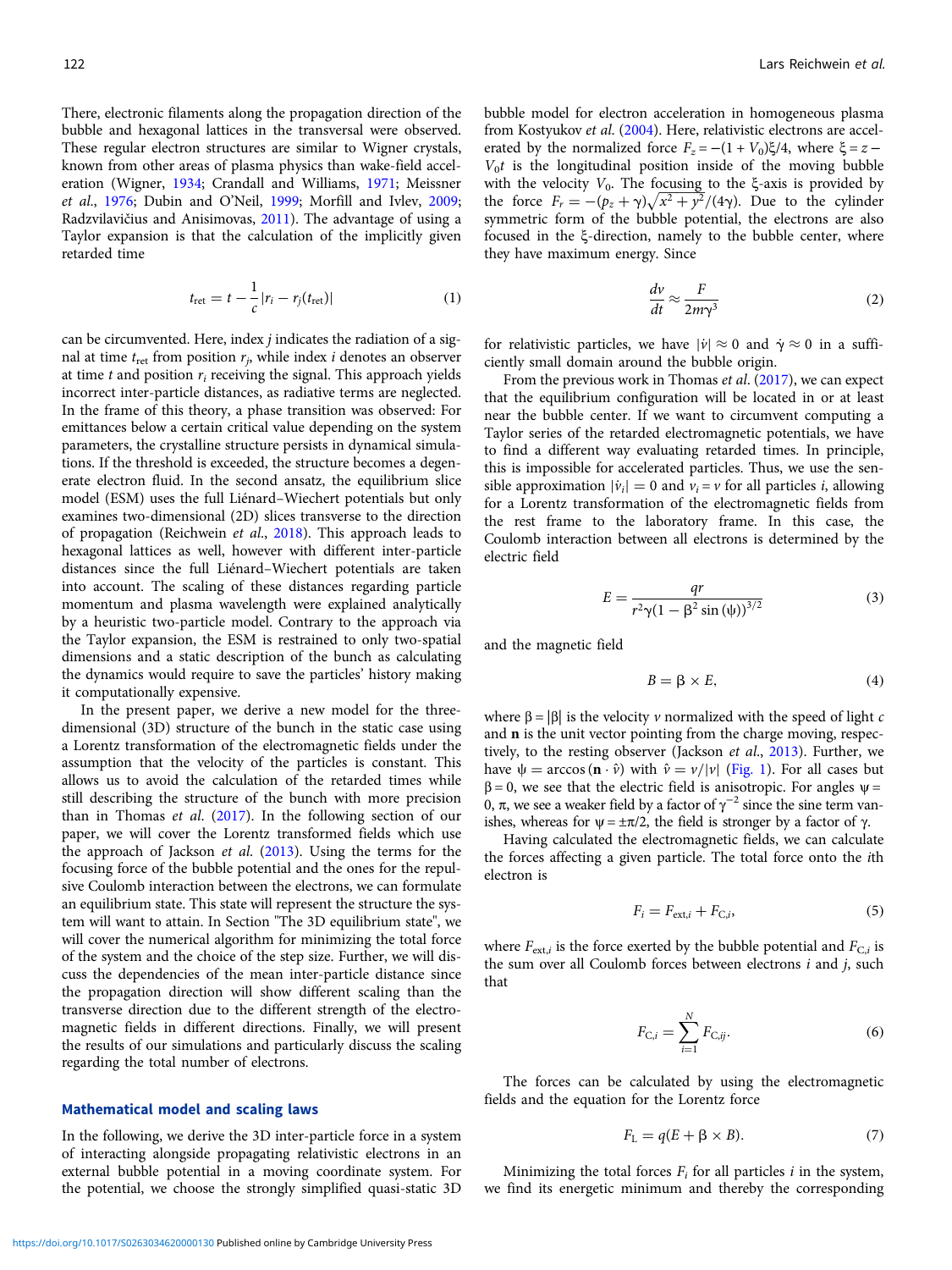<span id="page-1-0"></span>There, electronic filaments along the propagation direction of the bubble and hexagonal lattices in the transversal were observed. These regular electron structures are similar to Wigner crystals, known from other areas of plasma physics than wake-field acceleration (Wigner, [1934;](#page-6-0) Crandall and Williams, [1971;](#page-5-0) Meissner et al., [1976](#page-6-0); Dubin and O'Neil, [1999;](#page-5-0) Morfill and Ivlev, [2009;](#page-6-0) Radzvilavičius and Anisimovas, [2011](#page-6-0)). The advantage of using a Taylor expansion is that the calculation of the implicitly given retarded time

$$
t_{\rm ret} = t - \frac{1}{c} |r_i - r_j(t_{\rm ret})| \tag{1}
$$

can be circumvented. Here, index j indicates the radiation of a signal at time  $t_{\text{ret}}$  from position  $r_i$ , while index *i* denotes an observer at time  $t$  and position  $r_i$  receiving the signal. This approach yields incorrect inter-particle distances, as radiative terms are neglected. In the frame of this theory, a phase transition was observed: For emittances below a certain critical value depending on the system parameters, the crystalline structure persists in dynamical simulations. If the threshold is exceeded, the structure becomes a degenerate electron fluid. In the second ansatz, the equilibrium slice model (ESM) uses the full Liénard–Wiechert potentials but only examines two-dimensional (2D) slices transverse to the direction of propagation (Reichwein et al., [2018\)](#page-6-0). This approach leads to hexagonal lattices as well, however with different inter-particle distances since the full Liénard–Wiechert potentials are taken into account. The scaling of these distances regarding particle momentum and plasma wavelength were explained analytically by a heuristic two-particle model. Contrary to the approach via the Taylor expansion, the ESM is restrained to only two-spatial dimensions and a static description of the bunch as calculating the dynamics would require to save the particles' history making it computationally expensive.

In the present paper, we derive a new model for the threedimensional (3D) structure of the bunch in the static case using a Lorentz transformation of the electromagnetic fields under the assumption that the velocity of the particles is constant. This allows us to avoid the calculation of the retarded times while still describing the structure of the bunch with more precision than in Thomas et al. [\(2017](#page-6-0)). In the following section of our paper, we will cover the Lorentz transformed fields which use the approach of Jackson et al. [\(2013\)](#page-6-0). Using the terms for the focusing force of the bubble potential and the ones for the repulsive Coulomb interaction between the electrons, we can formulate an equilibrium state. This state will represent the structure the system will want to attain. In Section "The 3D equilibrium state", we will cover the numerical algorithm for minimizing the total force of the system and the choice of the step size. Further, we will discuss the dependencies of the mean inter-particle distance since the propagation direction will show different scaling than the transverse direction due to the different strength of the electromagnetic fields in different directions. Finally, we will present the results of our simulations and particularly discuss the scaling regarding the total number of electrons.

#### Mathematical model and scaling laws

In the following, we derive the 3D inter-particle force in a system of interacting alongside propagating relativistic electrons in an external bubble potential in a moving coordinate system. For the potential, we choose the strongly simplified quasi-static 3D bubble model for electron acceleration in homogeneous plasma from Kostyukov et al. [\(2004\)](#page-6-0). Here, relativistic electrons are accelerated by the normalized force  $F_z = -(1 + V_0)\xi/4$ , where  $\xi = z V_0t$  is the longitudinal position inside of the moving bubble with the velocity  $V_0$ . The focusing to the ξ-axis is provided by the force  $F_r = -(p_z + \gamma)\sqrt{x^2 + y^2}/(4\gamma)$ . Due to the cylinder<br>symmetric form of the bubble potential, the electrons are also symmetric form of the bubble potential, the electrons are also focused in the ξ-direction, namely to the bubble center, where they have maximum energy. Since

$$
\frac{dv}{dt} \approx \frac{F}{2m\gamma^3} \tag{2}
$$

for relativistic particles, we have  $|\dot{v}| \approx 0$  and  $\dot{\gamma} \approx 0$  in a sufficiently small domain around the bubble origin.

From the previous work in Thomas et al. ([2017\)](#page-6-0), we can expect that the equilibrium configuration will be located in or at least near the bubble center. If we want to circumvent computing a Taylor series of the retarded electromagnetic potentials, we have to find a different way evaluating retarded times. In principle, this is impossible for accelerated particles. Thus, we use the sensible approximation  $|\dot{v}_i| = 0$  and  $v_i = v$  for all particles *i*, allowing for a Lorentz transformation of the electromagnetic fields from the rest frame to the laboratory frame. In this case, the Coulomb interaction between all electrons is determined by the electric field

$$
E = \frac{qr}{r^2 \gamma (1 - \beta^2 \sin{(\psi)})^{3/2}}
$$
 (3)

and the magnetic field

$$
B = \beta \times E,\tag{4}
$$

where  $\beta = |\beta|$  is the velocity *v* normalized with the speed of light *c* and n is the unit vector pointing from the charge moving, respec-tively, to the resting observer (Jackson et al., [2013](#page-6-0)). Further, we have  $\psi = \arccos (\mathbf{n} \cdot \hat{v})$  with  $\hat{v} = v/|v|$  [\(Fig. 1](#page-2-0)). For all cases but  $β = 0$ , we see that the electric field is anisotropic. For angles  $ψ =$ 0, π, we see a weaker field by a factor of  $\gamma^{-2}$  since the sine term vanishes, whereas for  $ψ = ±π/2$ , the field is stronger by a factor of γ.

Having calculated the electromagnetic fields, we can calculate the forces affecting a given particle. The total force onto the ith electron is

$$
F_i = F_{\text{ext},i} + F_{\text{C},i},\tag{5}
$$

where  $F_{ext,i}$  is the force exerted by the bubble potential and  $F_{C,i}$  is the sum over all Coulomb forces between electrons  $i$  and  $j$ , such that

$$
F_{C,i} = \sum_{i=1}^{N} F_{C,ij}.
$$
 (6)

The forces can be calculated by using the electromagnetic fields and the equation for the Lorentz force

$$
F_{\rm L} = q(E + \beta \times B). \tag{7}
$$

Minimizing the total forces  $F_i$  for all particles *i* in the system, we find its energetic minimum and thereby the corresponding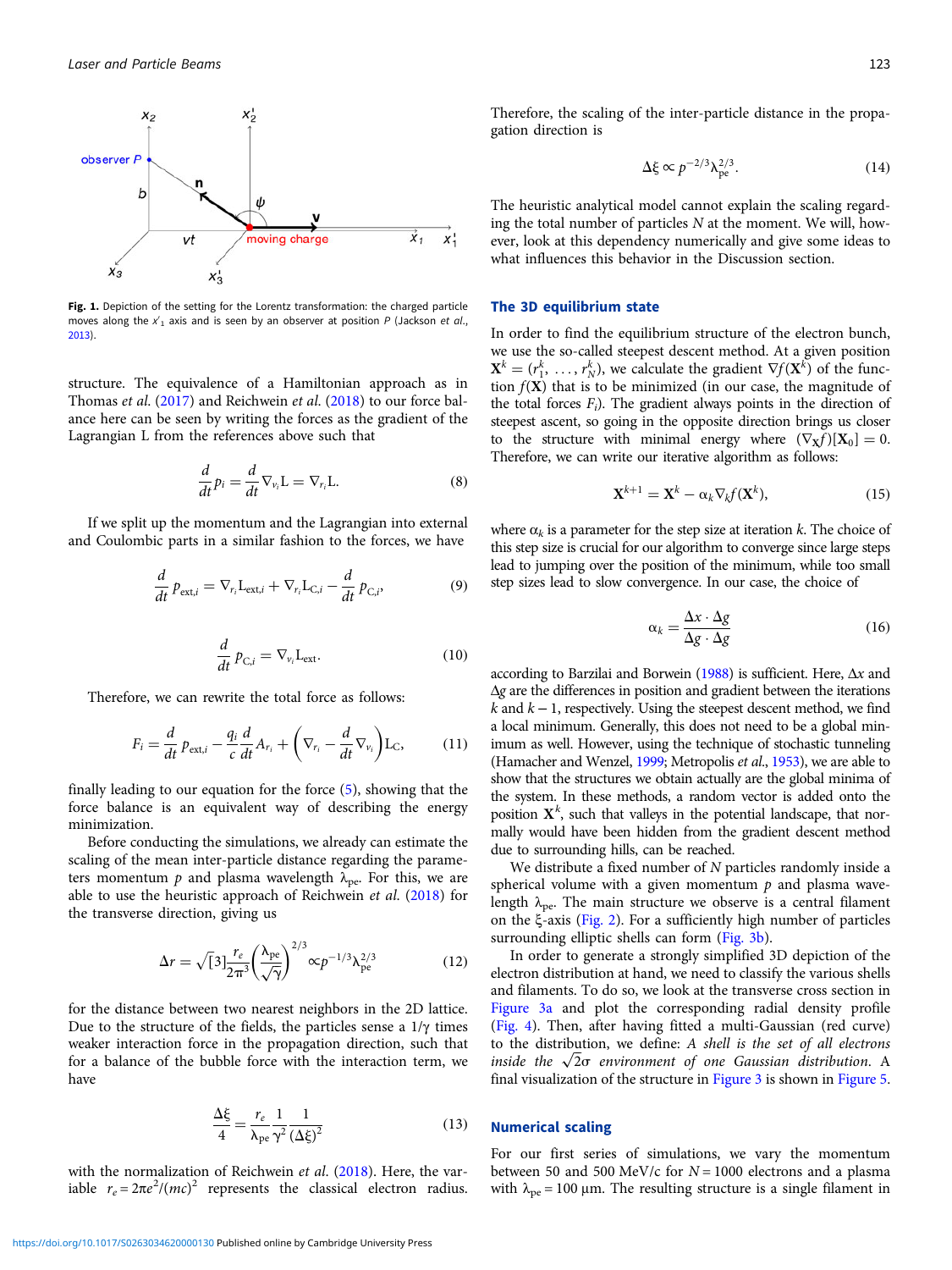<span id="page-2-0"></span>

Fig. 1. Depiction of the setting for the Lorentz transformation: the charged particle moves along the  $x'_1$  axis and is seen by an observer at position P (Jackson et al., [2013](#page-6-0)).

structure. The equivalence of a Hamiltonian approach as in Thomas *et al.* ([2017](#page-6-0)) and Reichwein *et al.* [\(2018](#page-6-0)) to our force balance here can be seen by writing the forces as the gradient of the Lagrangian L from the references above such that

$$
\frac{d}{dt}p_i = \frac{d}{dt}\nabla_{v_i}L = \nabla_{r_i}L.
$$
\n(8)

If we split up the momentum and the Lagrangian into external and Coulombic parts in a similar fashion to the forces, we have

$$
\frac{d}{dt} p_{\text{ext},i} = \nabla_{r_i} L_{\text{ext},i} + \nabla_{r_i} L_{\text{C},i} - \frac{d}{dt} p_{\text{C},i},
$$
\n(9)

$$
\frac{d}{dt} p_{C,i} = \nabla_{v_i} L_{ext}.
$$
\n(10)

Therefore, we can rewrite the total force as follows:

$$
F_i = \frac{d}{dt} p_{\text{ext},i} - \frac{q_i}{c} \frac{d}{dt} A_{r_i} + \left(\nabla_{r_i} - \frac{d}{dt} \nabla_{v_i}\right) L_C, \quad (11)
$$

finally leading to our equation for the force [\(5\)](#page-1-0), showing that the force balance is an equivalent way of describing the energy minimization.

Before conducting the simulations, we already can estimate the scaling of the mean inter-particle distance regarding the parameters momentum p and plasma wavelength  $\lambda_{\text{pe}}$ . For this, we are able to use the heuristic approach of Reichwein et al. [\(2018](#page-6-0)) for the transverse direction, giving us

$$
\Delta r = \sqrt[3]{3} \frac{r_e}{2\pi^3} \left(\frac{\lambda_{\rm pe}}{\sqrt{\gamma}}\right)^{2/3} \propto p^{-1/3} \lambda_{\rm pe}^{2/3}
$$
 (12)

for the distance between two nearest neighbors in the 2D lattice. Due to the structure of the fields, the particles sense a  $1/\gamma$  times weaker interaction force in the propagation direction, such that for a balance of the bubble force with the interaction term, we have

$$
\frac{\Delta \xi}{4} = \frac{r_e}{\lambda_{\text{pe}}} \frac{1}{\gamma^2} \frac{1}{(\Delta \xi)^2}
$$
(13)

with the normalization of Reichwein et al. [\(2018\)](#page-6-0). Here, the variable  $r_e = 2\pi e^2/(mc)^2$  represents the classical electron radius.

Therefore, the scaling of the inter-particle distance in the propagation direction is

$$
\Delta \xi \propto p^{-2/3} \lambda_{\rm pe}^{2/3}.
$$
 (14)

The heuristic analytical model cannot explain the scaling regarding the total number of particles  $N$  at the moment. We will, however, look at this dependency numerically and give some ideas to what influences this behavior in the Discussion section.

## The 3D equilibrium state

In order to find the equilibrium structure of the electron bunch, we use the so-called steepest descent method. At a given position  $\mathbf{X}^k = (r_1^k, \ldots, r_N^k)$ , we calculate the gradient  $\nabla f(\mathbf{X}^k)$  of the function  $f(X)$  that is to be minimized (in our case, the magnitude of the total forces  $F_i$ ). The gradient always points in the direction of steepest ascent, so going in the opposite direction brings us closer to the structure with minimal energy where  $(\nabla_{\mathbf{X}} f)[\mathbf{X}_0] = 0$ . Therefore, we can write our iterative algorithm as follows:

$$
\mathbf{X}^{k+1} = \mathbf{X}^k - \alpha_k \nabla_k f(\mathbf{X}^k),\tag{15}
$$

where  $\alpha_k$  is a parameter for the step size at iteration k. The choice of this step size is crucial for our algorithm to converge since large steps lead to jumping over the position of the minimum, while too small step sizes lead to slow convergence. In our case, the choice of

$$
\alpha_k = \frac{\Delta x \cdot \Delta g}{\Delta g \cdot \Delta g} \tag{16}
$$

according to Barzilai and Borwein [\(1988\)](#page-5-0) is sufficient. Here,  $\Delta x$  and Δg are the differences in position and gradient between the iterations  $k$  and  $k − 1$ , respectively. Using the steepest descent method, we find a local minimum. Generally, this does not need to be a global minimum as well. However, using the technique of stochastic tunneling (Hamacher and Wenzel, [1999](#page-5-0); Metropolis et al., [1953\)](#page-6-0), we are able to show that the structures we obtain actually are the global minima of the system. In these methods, a random vector is added onto the position  $X<sup>k</sup>$ , such that valleys in the potential landscape, that normally would have been hidden from the gradient descent method due to surrounding hills, can be reached.

We distribute a fixed number of N particles randomly inside a spherical volume with a given momentum  $p$  and plasma wavelength  $\lambda_{\text{pe}}$ . The main structure we observe is a central filament on the ξ-axis ([Fig. 2](#page-3-0)). For a sufficiently high number of particles surrounding elliptic shells can form [\(Fig. 3b\)](#page-3-0).

In order to generate a strongly simplified 3D depiction of the electron distribution at hand, we need to classify the various shells and filaments. To do so, we look at the transverse cross section in [Figure 3a](#page-3-0) and plot the corresponding radial density profile [\(Fig. 4\)](#page-3-0). Then, after having fitted a multi-Gaussian (red curve) to the distribution, we define: A shell is the set of all electrons inside the  $\sqrt{2}\sigma$  environment of one Gaussian distribution. A<br>final visualization of the structure in Figure 3 is shown in Figure 5. final visualization of the structure in [Figure 3](#page-3-0) is shown in [Figure 5](#page-3-0).

#### Numerical scaling

For our first series of simulations, we vary the momentum between 50 and 500 MeV/c for  $N = 1000$  electrons and a plasma with  $λ_{pe}$  = 100 μm. The resulting structure is a single filament in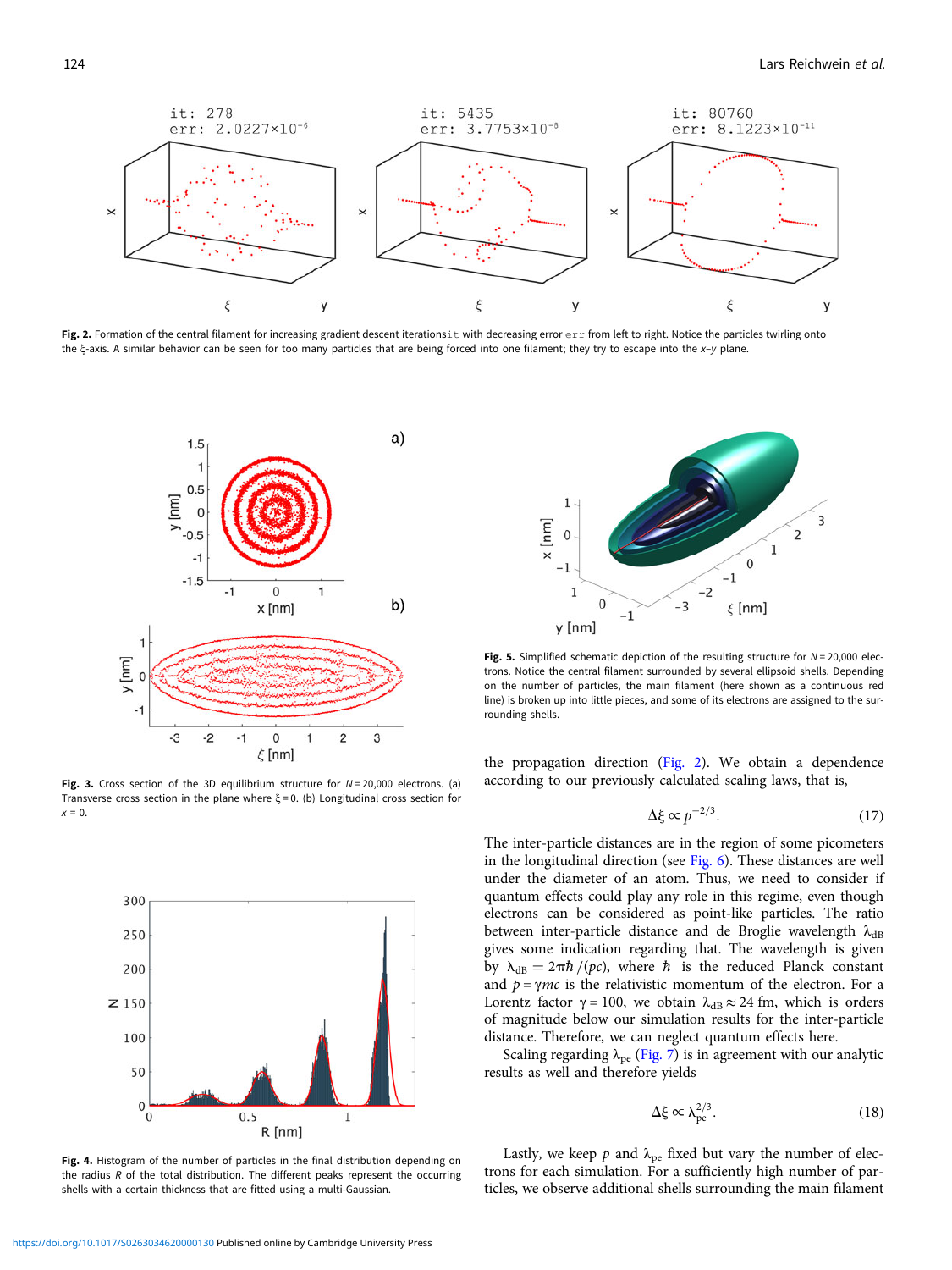<span id="page-3-0"></span>

Fig. 2. Formation of the central filament for increasing gradient descent iterationsit with decreasing error err from left to right. Notice the particles twirling onto the ξ-axis. A similar behavior can be seen for too many particles that are being forced into one filament; they try to escape into the x–y plane.



Fig. 3. Cross section of the 3D equilibrium structure for  $N = 20,000$  electrons. (a) Transverse cross section in the plane where  $\xi = 0$ . (b) Longitudinal cross section for  $x = 0$ .



Fig. 4. Histogram of the number of particles in the final distribution depending on the radius  $R$  of the total distribution. The different peaks represent the occurring shells with a certain thickness that are fitted using a multi-Gaussian.



Fig. 5. Simplified schematic depiction of the resulting structure for  $N = 20,000$  electrons. Notice the central filament surrounded by several ellipsoid shells. Depending on the number of particles, the main filament (here shown as a continuous red line) is broken up into little pieces, and some of its electrons are assigned to the surrounding shells.

the propagation direction (Fig. 2). We obtain a dependence according to our previously calculated scaling laws, that is,

$$
\Delta \xi \propto p^{-2/3}.\tag{17}
$$

The inter-particle distances are in the region of some picometers in the longitudinal direction (see [Fig. 6\)](#page-4-0). These distances are well under the diameter of an atom. Thus, we need to consider if quantum effects could play any role in this regime, even though electrons can be considered as point-like particles. The ratio between inter-particle distance and de Broglie wavelength  $\lambda_{dB}$ gives some indication regarding that. The wavelength is given by  $\lambda_{dB} = 2\pi\hbar/(pc)$ , where  $\hbar$  is the reduced Planck constant and  $p = \gamma mc$  is the relativistic momentum of the electron. For a Lorentz factor  $\gamma = 100$ , we obtain  $\lambda_{dB} \approx 24$  fm, which is orders of magnitude below our simulation results for the inter-particle distance. Therefore, we can neglect quantum effects here.

Scaling regarding  $\lambda_{pe}$  ([Fig. 7](#page-4-0)) is in agreement with our analytic results as well and therefore yields

$$
\Delta \xi \propto \lambda_{\rm pe}^{2/3}.\tag{18}
$$

Lastly, we keep  $p$  and  $\lambda_{pe}$  fixed but vary the number of electrons for each simulation. For a sufficiently high number of particles, we observe additional shells surrounding the main filament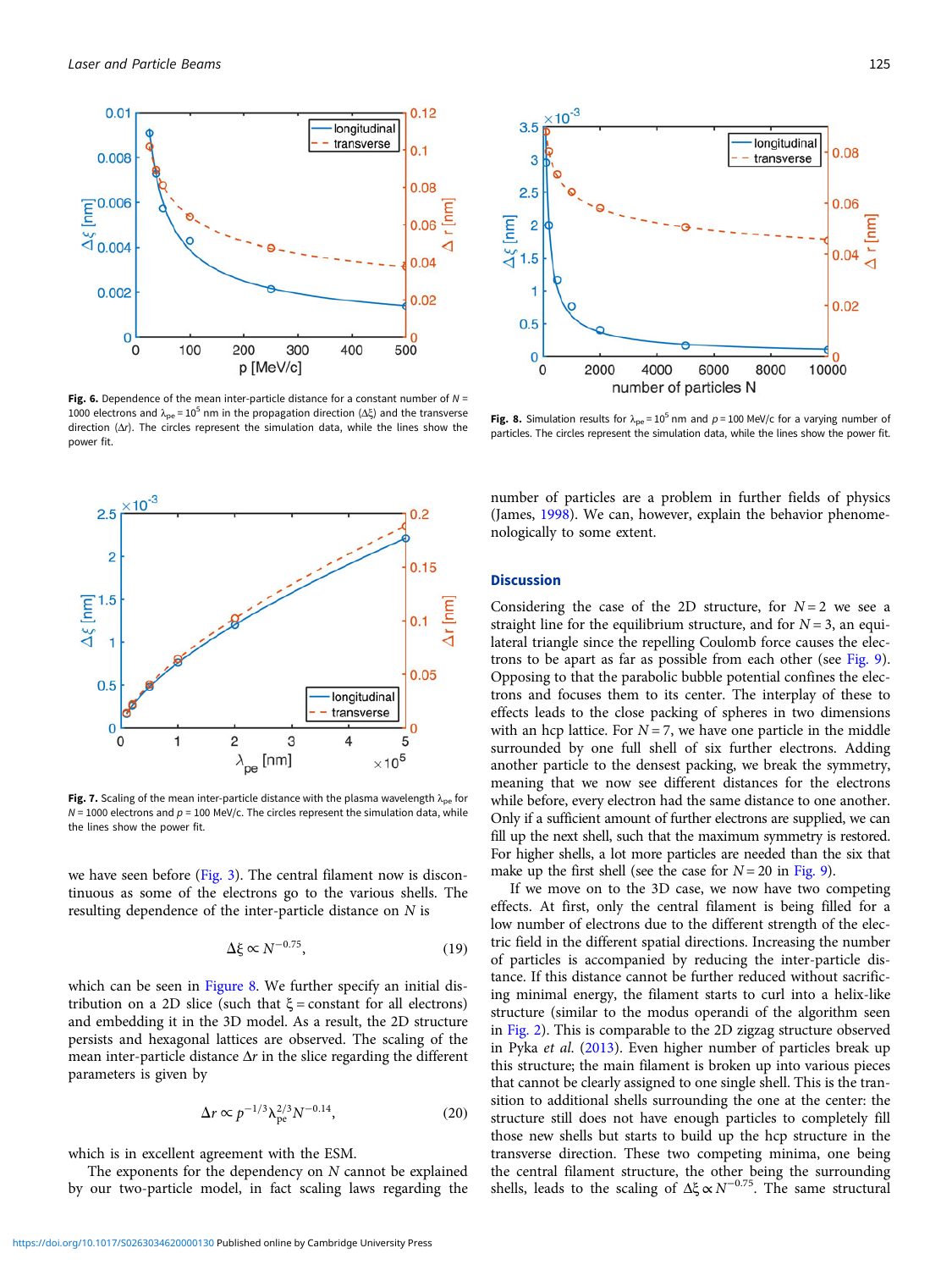<span id="page-4-0"></span>

Fig. 6. Dependence of the mean inter-particle distance for a constant number of  $N =$ 1000 electrons and  $λ_{pe}$  = 10<sup>5</sup> nm in the propagation direction (Δξ) and the transverse direction  $(\Delta r)$ . The circles represent the simulation data, while the lines show the power fit.



Fig. 7. Scaling of the mean inter-particle distance with the plasma wavelength  $\lambda_{pe}$  for  $N = 1000$  electrons and  $p = 100$  MeV/c. The circles represent the simulation data, while the lines show the power fit.

we have seen before [\(Fig. 3](#page-3-0)). The central filament now is discontinuous as some of the electrons go to the various shells. The resulting dependence of the inter-particle distance on N is

$$
\Delta \xi \propto N^{-0.75},\tag{19}
$$

which can be seen in Figure 8. We further specify an initial distribution on a 2D slice (such that  $\xi$  = constant for all electrons) and embedding it in the 3D model. As a result, the 2D structure persists and hexagonal lattices are observed. The scaling of the mean inter-particle distance  $\Delta r$  in the slice regarding the different parameters is given by

$$
\Delta r \propto p^{-1/3} \lambda_{\rm pe}^{2/3} N^{-0.14},\tag{20}
$$

which is in excellent agreement with the ESM.

The exponents for the dependency on  $N$  cannot be explained by our two-particle model, in fact scaling laws regarding the



Fig. 8. Simulation results for  $\lambda_{\text{pe}} = 10^5$  nm and  $p = 100$  MeV/c for a varying number of particles. The circles represent the simulation data, while the lines show the power fit.

number of particles are a problem in further fields of physics (James, [1998](#page-6-0)). We can, however, explain the behavior phenomenologically to some extent.

## **Discussion**

Considering the case of the 2D structure, for  $N=2$  we see a straight line for the equilibrium structure, and for  $N = 3$ , an equilateral triangle since the repelling Coulomb force causes the electrons to be apart as far as possible from each other (see [Fig. 9](#page-5-0)). Opposing to that the parabolic bubble potential confines the electrons and focuses them to its center. The interplay of these to effects leads to the close packing of spheres in two dimensions with an hcp lattice. For  $N = 7$ , we have one particle in the middle surrounded by one full shell of six further electrons. Adding another particle to the densest packing, we break the symmetry, meaning that we now see different distances for the electrons while before, every electron had the same distance to one another. Only if a sufficient amount of further electrons are supplied, we can fill up the next shell, such that the maximum symmetry is restored. For higher shells, a lot more particles are needed than the six that make up the first shell (see the case for  $N = 20$  in [Fig. 9](#page-5-0)).

If we move on to the 3D case, we now have two competing effects. At first, only the central filament is being filled for a low number of electrons due to the different strength of the electric field in the different spatial directions. Increasing the number of particles is accompanied by reducing the inter-particle distance. If this distance cannot be further reduced without sacrificing minimal energy, the filament starts to curl into a helix-like structure (similar to the modus operandi of the algorithm seen in [Fig. 2\)](#page-3-0). This is comparable to the 2D zigzag structure observed in Pyka et al. [\(2013](#page-6-0)). Even higher number of particles break up this structure; the main filament is broken up into various pieces that cannot be clearly assigned to one single shell. This is the transition to additional shells surrounding the one at the center: the structure still does not have enough particles to completely fill those new shells but starts to build up the hcp structure in the transverse direction. These two competing minima, one being the central filament structure, the other being the surrounding shells, leads to the scaling of  $\Delta \xi \propto N^{-0.75}$ . The same structural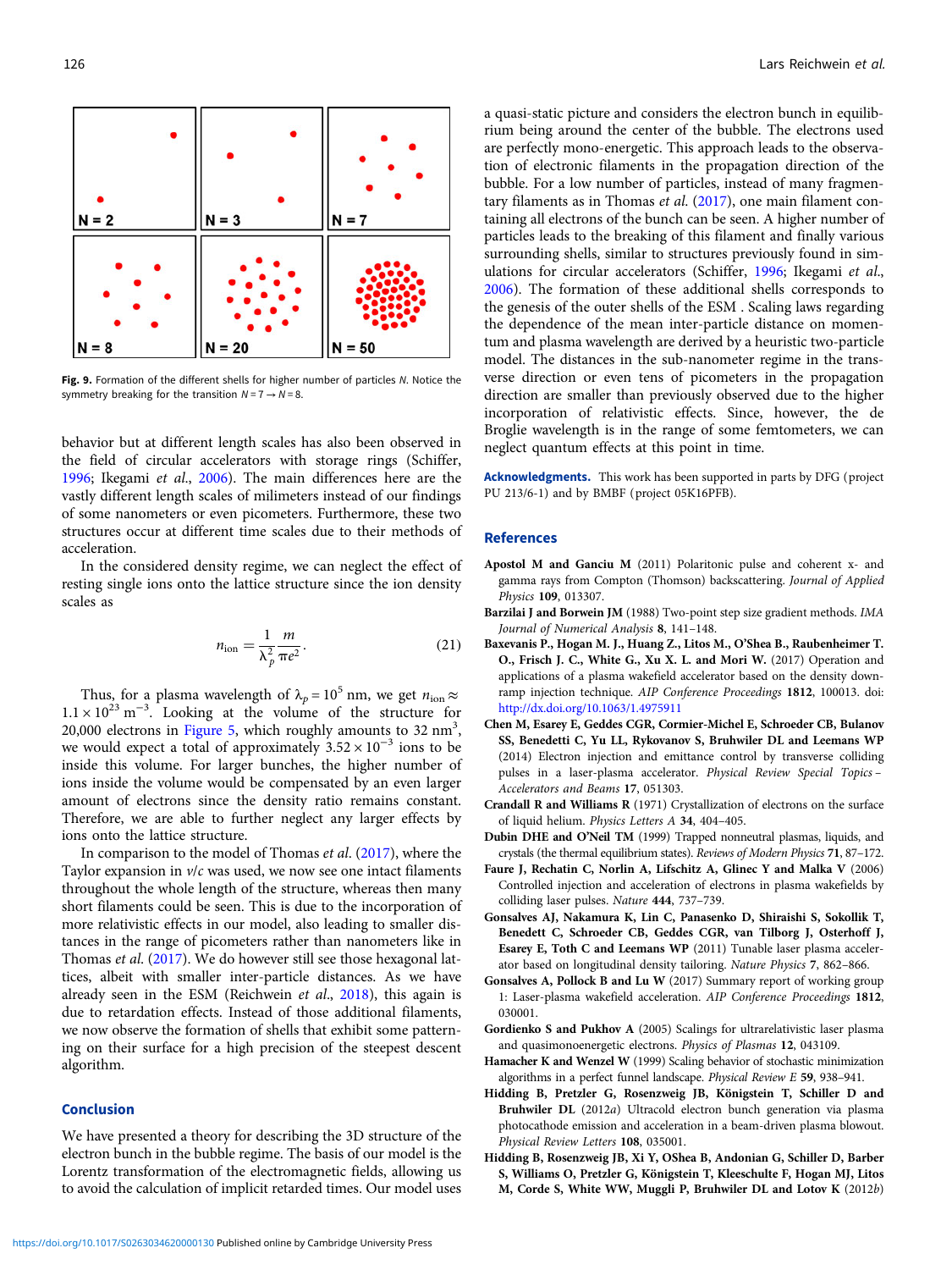<span id="page-5-0"></span>

Fig. 9. Formation of the different shells for higher number of particles N. Notice the symmetry breaking for the transition  $N = 7 \rightarrow N = 8$ .

behavior but at different length scales has also been observed in the field of circular accelerators with storage rings (Schiffer, [1996;](#page-6-0) Ikegami et al., [2006](#page-6-0)). The main differences here are the vastly different length scales of milimeters instead of our findings of some nanometers or even picometers. Furthermore, these two structures occur at different time scales due to their methods of acceleration.

In the considered density regime, we can neglect the effect of resting single ions onto the lattice structure since the ion density scales as

$$
n_{\text{ion}} = \frac{1}{\lambda_p^2} \frac{m}{\pi e^2}.
$$
 (21)

Thus, for a plasma wavelength of  $\lambda_p = 10^5$  nm, we get  $n_{\text{ion}} \approx$  $1.1 \times 10^{23}$  m<sup>-3</sup>. Looking at the volume of the structure for 20,000 electrons in [Figure 5,](#page-3-0) which roughly amounts to  $32 \text{ nm}^3$ , we would expect a total of approximately  $3.52 \times 10^{-3}$  ions to be inside this volume. For larger bunches, the higher number of ions inside the volume would be compensated by an even larger amount of electrons since the density ratio remains constant. Therefore, we are able to further neglect any larger effects by ions onto the lattice structure.

In comparison to the model of Thomas et al. [\(2017](#page-6-0)), where the Taylor expansion in  $v/c$  was used, we now see one intact filaments throughout the whole length of the structure, whereas then many short filaments could be seen. This is due to the incorporation of more relativistic effects in our model, also leading to smaller distances in the range of picometers rather than nanometers like in Thomas et al. [\(2017\)](#page-6-0). We do however still see those hexagonal lattices, albeit with smaller inter-particle distances. As we have already seen in the ESM (Reichwein et al., [2018](#page-6-0)), this again is due to retardation effects. Instead of those additional filaments, we now observe the formation of shells that exhibit some patterning on their surface for a high precision of the steepest descent algorithm.

#### Conclusion

We have presented a theory for describing the 3D structure of the electron bunch in the bubble regime. The basis of our model is the Lorentz transformation of the electromagnetic fields, allowing us to avoid the calculation of implicit retarded times. Our model uses a quasi-static picture and considers the electron bunch in equilibrium being around the center of the bubble. The electrons used are perfectly mono-energetic. This approach leads to the observation of electronic filaments in the propagation direction of the bubble. For a low number of particles, instead of many fragmentary filaments as in Thomas et al. [\(2017\)](#page-6-0), one main filament containing all electrons of the bunch can be seen. A higher number of particles leads to the breaking of this filament and finally various surrounding shells, similar to structures previously found in simulations for circular accelerators (Schiffer, [1996;](#page-6-0) Ikegami et al., [2006](#page-6-0)). The formation of these additional shells corresponds to the genesis of the outer shells of the ESM . Scaling laws regarding the dependence of the mean inter-particle distance on momentum and plasma wavelength are derived by a heuristic two-particle model. The distances in the sub-nanometer regime in the transverse direction or even tens of picometers in the propagation direction are smaller than previously observed due to the higher incorporation of relativistic effects. Since, however, the de Broglie wavelength is in the range of some femtometers, we can neglect quantum effects at this point in time.

Acknowledgments. This work has been supported in parts by DFG (project PU 213/6-1) and by BMBF (project 05K16PFB).

#### References

- Apostol M and Ganciu M (2011) Polaritonic pulse and coherent x- and gamma rays from Compton (Thomson) backscattering. Journal of Applied Physics 109, 013307.
- Barzilai J and Borwein JM (1988) Two-point step size gradient methods. IMA Journal of Numerical Analysis 8, 141–148.
- Baxevanis P., Hogan M. J., Huang Z., Litos M., O'Shea B., Raubenheimer T. O., Frisch J. C., White G., Xu X. L. and Mori W. (2017) Operation and applications of a plasma wakefield accelerator based on the density downramp injection technique. AIP Conference Proceedings 1812, 100013. doi: <http://dx.doi.org/10.1063/1.4975911>
- Chen M, Esarey E, Geddes CGR, Cormier-Michel E, Schroeder CB, Bulanov SS, Benedetti C, Yu LL, Rykovanov S, Bruhwiler DL and Leemans WP (2014) Electron injection and emittance control by transverse colliding pulses in a laser-plasma accelerator. Physical Review Special Topics – Accelerators and Beams 17, 051303.
- Crandall R and Williams R (1971) Crystallization of electrons on the surface of liquid helium. Physics Letters A 34, 404–405.
- Dubin DHE and O'Neil TM (1999) Trapped nonneutral plasmas, liquids, and crystals (the thermal equilibrium states). Reviews of Modern Physics 71, 87–172.
- Faure J, Rechatin C, Norlin A, Lifschitz A, Glinec Y and Malka V (2006) Controlled injection and acceleration of electrons in plasma wakefields by colliding laser pulses. Nature 444, 737–739.
- Gonsalves AJ, Nakamura K, Lin C, Panasenko D, Shiraishi S, Sokollik T, Benedett C, Schroeder CB, Geddes CGR, van Tilborg J, Osterhoff J, Esarey E, Toth C and Leemans WP (2011) Tunable laser plasma accelerator based on longitudinal density tailoring. Nature Physics 7, 862–866.
- Gonsalves A, Pollock B and Lu W (2017) Summary report of working group 1: Laser-plasma wakefield acceleration. AIP Conference Proceedings 1812, 030001.
- Gordienko S and Pukhov A (2005) Scalings for ultrarelativistic laser plasma and quasimonoenergetic electrons. Physics of Plasmas 12, 043109.
- Hamacher K and Wenzel W (1999) Scaling behavior of stochastic minimization algorithms in a perfect funnel landscape. Physical Review E 59, 938–941.
- Hidding B, Pretzler G, Rosenzweig JB, Königstein T, Schiller D and Bruhwiler DL (2012a) Ultracold electron bunch generation via plasma photocathode emission and acceleration in a beam-driven plasma blowout. Physical Review Letters 108, 035001.
- Hidding B, Rosenzweig JB, Xi Y, OShea B, Andonian G, Schiller D, Barber S, Williams O, Pretzler G, Königstein T, Kleeschulte F, Hogan MJ, Litos M, Corde S, White WW, Muggli P, Bruhwiler DL and Lotov K (2012b)